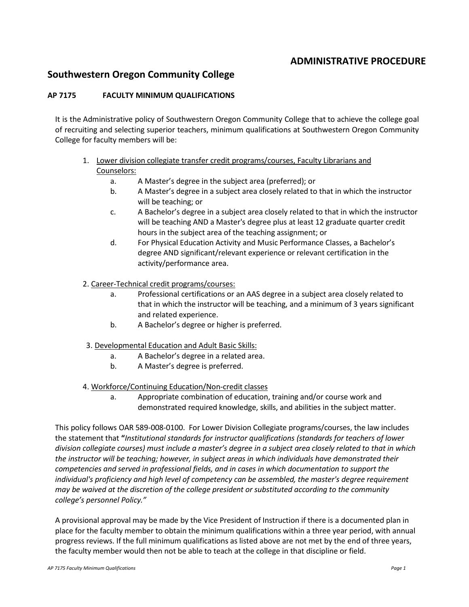## **ADMINISTRATIVE PROCEDURE**

## **Southwestern Oregon Community College**

## **AP 7175 FACULTY MINIMUM QUALIFICATIONS**

It is the Administrative policy of Southwestern Oregon Community College that to achieve the college goal of recruiting and selecting superior teachers, minimum qualifications at Southwestern Oregon Community College for faculty members will be:

- 1. Lower division collegiate transfer credit programs/courses, Faculty Librarians and Counselors:
	- a. A Master's degree in the subject area (preferred); or
	- b. A Master's degree in a subject area closely related to that in which the instructor will be teaching; or
	- c. A Bachelor's degree in a subject area closely related to that in which the instructor will be teaching AND a Master's degree plus at least 12 graduate quarter credit hours in the subject area of the teaching assignment; or
	- d. For Physical Education Activity and Music Performance Classes, a Bachelor's degree AND significant/relevant experience or relevant certification in the activity/performance area.

## 2. Career-Technical credit programs/courses:

- a. Professional certifications or an AAS degree in a subject area closely related to that in which the instructor will be teaching, and a minimum of 3 years significant and related experience.
- b. A Bachelor's degree or higher is preferred.
- 3. Developmental Education and Adult Basic Skills:
	- a. A Bachelor's degree in a related area.
	- b. A Master's degree is preferred.
- 4. Workforce/Continuing Education/Non-credit classes
	- a. Appropriate combination of education, training and/or course work and demonstrated required knowledge, skills, and abilities in the subject matter.

This policy follows OAR 589-008-0100. For Lower Division Collegiate programs/courses, the law includes the statement that **"***Institutional standards for instructor qualifications (standards for teachers of lower division collegiate courses) must include a master's degree in a subject area closely related to that in which the instructor will be teaching; however, in subject areas in which individuals have demonstrated their competencies and served in professional fields, and in cases in which documentation to support the individual's proficiency and high level of competency can be assembled, the master's degree requirement may be waived at the discretion of the college president or substituted according to the community college's personnel Policy."*

A provisional approval may be made by the Vice President of Instruction if there is a documented plan in place for the faculty member to obtain the minimum qualifications within a three year period, with annual progress reviews. If the full minimum qualifications as listed above are not met by the end of three years, the faculty member would then not be able to teach at the college in that discipline or field.